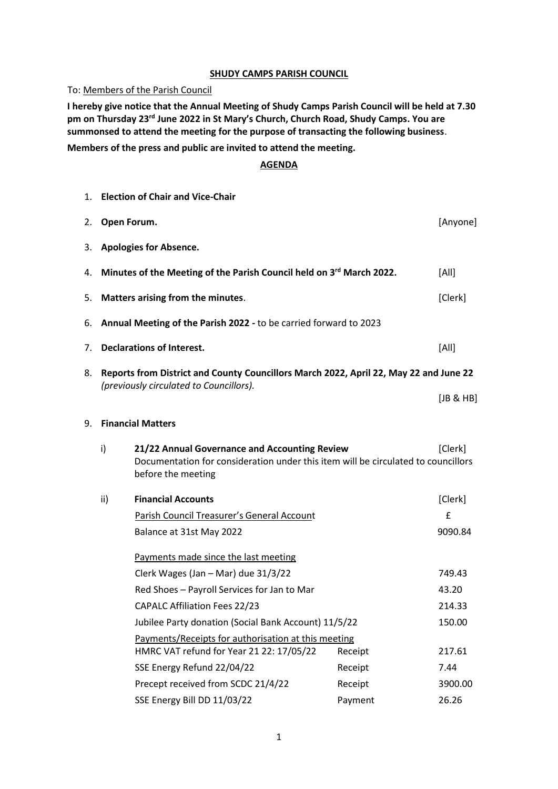## **SHUDY CAMPS PARISH COUNCIL**

To: Members of the Parish Council

**I hereby give notice that the Annual Meeting of Shudy Camps Parish Council will be held at 7.30 pm on Thursday 23rd June 2022 in St Mary's Church, Church Road, Shudy Camps. You are summonsed to attend the meeting for the purpose of transacting the following business**.

**Members of the press and public are invited to attend the meeting.**

## **AGENDA**

|    |                                                                                       | 1. Election of Chair and Vice-Chair                                                                                                                      |         |                    |  |
|----|---------------------------------------------------------------------------------------|----------------------------------------------------------------------------------------------------------------------------------------------------------|---------|--------------------|--|
| 2. | Open Forum.                                                                           |                                                                                                                                                          |         | [Anyone]           |  |
| 3. |                                                                                       | <b>Apologies for Absence.</b>                                                                                                                            |         |                    |  |
| 4. |                                                                                       | Minutes of the Meeting of the Parish Council held on 3rd March 2022.                                                                                     |         | [All]              |  |
| 5. |                                                                                       | Matters arising from the minutes.                                                                                                                        |         | [Clerk]            |  |
| 6. |                                                                                       | Annual Meeting of the Parish 2022 - to be carried forward to 2023                                                                                        |         |                    |  |
| 7. |                                                                                       | <b>Declarations of Interest.</b>                                                                                                                         |         | [All]              |  |
| 8. | Reports from District and County Councillors March 2022, April 22, May 22 and June 22 |                                                                                                                                                          |         |                    |  |
|    |                                                                                       | (previously circulated to Councillors).                                                                                                                  |         | [JB & HB]          |  |
| 9. |                                                                                       | <b>Financial Matters</b>                                                                                                                                 |         |                    |  |
|    | i)                                                                                    | 21/22 Annual Governance and Accounting Review<br>Documentation for consideration under this item will be circulated to councillors<br>before the meeting |         | [Clerk]            |  |
|    | ii)                                                                                   | <b>Financial Accounts</b>                                                                                                                                |         | [Clerk]            |  |
|    |                                                                                       | Parish Council Treasurer's General Account                                                                                                               |         | $\pmb{\mathsf{f}}$ |  |
|    |                                                                                       | Balance at 31st May 2022                                                                                                                                 |         | 9090.84            |  |
|    |                                                                                       | Payments made since the last meeting                                                                                                                     |         |                    |  |
|    |                                                                                       | Clerk Wages (Jan - Mar) due 31/3/22                                                                                                                      |         | 749.43             |  |
|    |                                                                                       | Red Shoes - Payroll Services for Jan to Mar                                                                                                              |         | 43.20              |  |
|    |                                                                                       | <b>CAPALC Affiliation Fees 22/23</b>                                                                                                                     |         | 214.33             |  |
|    |                                                                                       | Jubilee Party donation (Social Bank Account) 11/5/22                                                                                                     |         | 150.00             |  |
|    |                                                                                       | Payments/Receipts for authorisation at this meeting<br>HMRC VAT refund for Year 21 22: 17/05/22                                                          | Receipt | 217.61             |  |
|    |                                                                                       | SSE Energy Refund 22/04/22                                                                                                                               | Receipt | 7.44               |  |
|    |                                                                                       | Precept received from SCDC 21/4/22                                                                                                                       | Receipt | 3900.00            |  |
|    |                                                                                       | SSE Energy Bill DD 11/03/22                                                                                                                              | Payment | 26.26              |  |
|    |                                                                                       |                                                                                                                                                          |         |                    |  |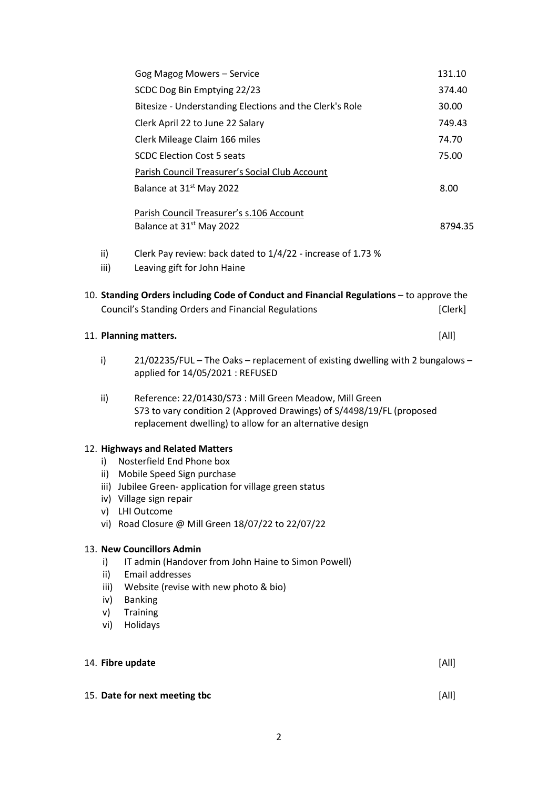|                                       | Gog Magog Mowers - Service                                                                                                                                                                                                                              | 131.10  |
|---------------------------------------|---------------------------------------------------------------------------------------------------------------------------------------------------------------------------------------------------------------------------------------------------------|---------|
|                                       | SCDC Dog Bin Emptying 22/23                                                                                                                                                                                                                             | 374.40  |
|                                       | Bitesize - Understanding Elections and the Clerk's Role                                                                                                                                                                                                 | 30.00   |
|                                       | Clerk April 22 to June 22 Salary                                                                                                                                                                                                                        | 749.43  |
|                                       | Clerk Mileage Claim 166 miles                                                                                                                                                                                                                           | 74.70   |
|                                       | <b>SCDC Election Cost 5 seats</b>                                                                                                                                                                                                                       | 75.00   |
|                                       | Parish Council Treasurer's Social Club Account                                                                                                                                                                                                          |         |
|                                       | Balance at 31 <sup>st</sup> May 2022                                                                                                                                                                                                                    | 8.00    |
|                                       | Parish Council Treasurer's s.106 Account<br>Balance at 31 <sup>st</sup> May 2022                                                                                                                                                                        | 8794.35 |
| $\mathsf{ii}$<br>iii)                 | Clerk Pay review: back dated to 1/4/22 - increase of 1.73 %<br>Leaving gift for John Haine                                                                                                                                                              |         |
|                                       | 10. Standing Orders including Code of Conduct and Financial Regulations - to approve the<br>Council's Standing Orders and Financial Regulations                                                                                                         | [Clerk] |
|                                       | 11. Planning matters.                                                                                                                                                                                                                                   | [All]   |
| i)                                    | 21/02235/FUL - The Oaks - replacement of existing dwelling with 2 bungalows -<br>applied for 14/05/2021 : REFUSED                                                                                                                                       |         |
| ii)                                   | Reference: 22/01430/S73 : Mill Green Meadow, Mill Green<br>S73 to vary condition 2 (Approved Drawings) of S/4498/19/FL (proposed<br>replacement dwelling) to allow for an alternative design                                                            |         |
| i)<br>ii)<br>v)                       | 12. Highways and Related Matters<br>Nosterfield End Phone box<br>Mobile Speed Sign purchase<br>iii) Jubilee Green- application for village green status<br>iv) Village sign repair<br>LHI Outcome<br>vi) Road Closure @ Mill Green 18/07/22 to 22/07/22 |         |
| i)<br>ii)<br>iii)<br>iv)<br>v)<br>vi) | 13. New Councillors Admin<br>IT admin (Handover from John Haine to Simon Powell)<br>Email addresses<br>Website (revise with new photo & bio)<br><b>Banking</b><br>Training<br>Holidays                                                                  |         |
|                                       |                                                                                                                                                                                                                                                         |         |
| 14. Fibre update                      |                                                                                                                                                                                                                                                         | [All]   |